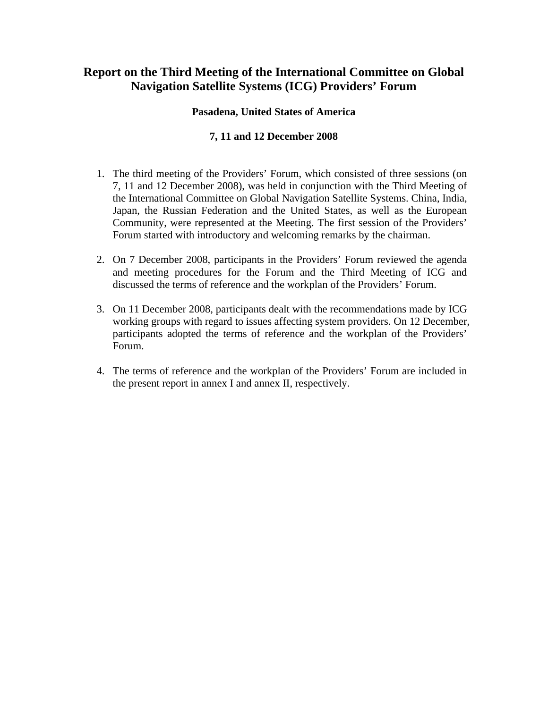# **Report on the Third Meeting of the International Committee on Global Navigation Satellite Systems (ICG) Providers' Forum**

## **Pasadena, United States of America**

# **7, 11 and 12 December 2008**

- 1. The third meeting of the Providers' Forum, which consisted of three sessions (on 7, 11 and 12 December 2008), was held in conjunction with the Third Meeting of the International Committee on Global Navigation Satellite Systems. China, India, Japan, the Russian Federation and the United States, as well as the European Community, were represented at the Meeting. The first session of the Providers' Forum started with introductory and welcoming remarks by the chairman.
- 2. On 7 December 2008, participants in the Providers' Forum reviewed the agenda and meeting procedures for the Forum and the Third Meeting of ICG and discussed the terms of reference and the workplan of the Providers' Forum.
- 3. On 11 December 2008, participants dealt with the recommendations made by ICG working groups with regard to issues affecting system providers. On 12 December, participants adopted the terms of reference and the workplan of the Providers' Forum.
- 4. The terms of reference and the workplan of the Providers' Forum are included in the present report in annex I and annex II, respectively.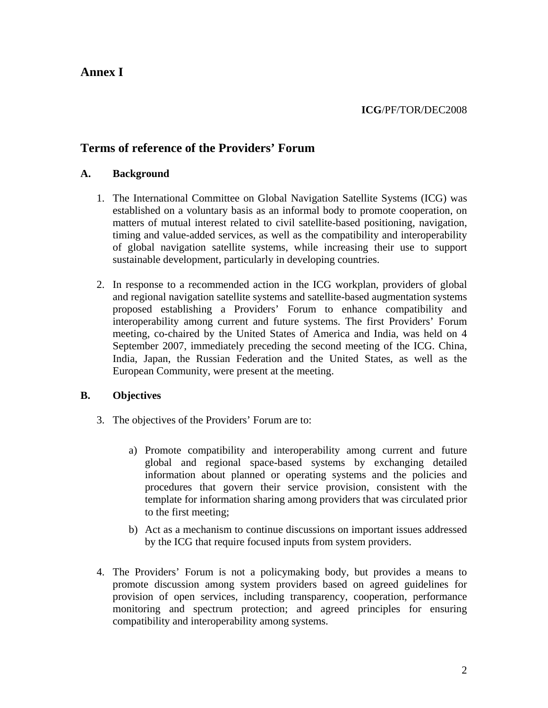# **Annex I**

# **Terms of reference of the Providers' Forum**

## **A. Background**

- 1. The International Committee on Global Navigation Satellite Systems (ICG) was established on a voluntary basis as an informal body to promote cooperation, on matters of mutual interest related to civil satellite-based positioning, navigation, timing and value-added services, as well as the compatibility and interoperability of global navigation satellite systems, while increasing their use to support sustainable development, particularly in developing countries.
- 2. In response to a recommended action in the ICG workplan, providers of global and regional navigation satellite systems and satellite-based augmentation systems proposed establishing a Providers' Forum to enhance compatibility and interoperability among current and future systems. The first Providers' Forum meeting, co-chaired by the United States of America and India, was held on 4 September 2007, immediately preceding the second meeting of the ICG. China, India, Japan, the Russian Federation and the United States, as well as the European Community, were present at the meeting.

## **B. Objectives**

- 3. The objectives of the Providers' Forum are to:
	- a) Promote compatibility and interoperability among current and future global and regional space-based systems by exchanging detailed information about planned or operating systems and the policies and procedures that govern their service provision, consistent with the template for information sharing among providers that was circulated prior to the first meeting;
	- b) Act as a mechanism to continue discussions on important issues addressed by the ICG that require focused inputs from system providers.
- 4. The Providers' Forum is not a policymaking body, but provides a means to promote discussion among system providers based on agreed guidelines for provision of open services, including transparency, cooperation, performance monitoring and spectrum protection; and agreed principles for ensuring compatibility and interoperability among systems.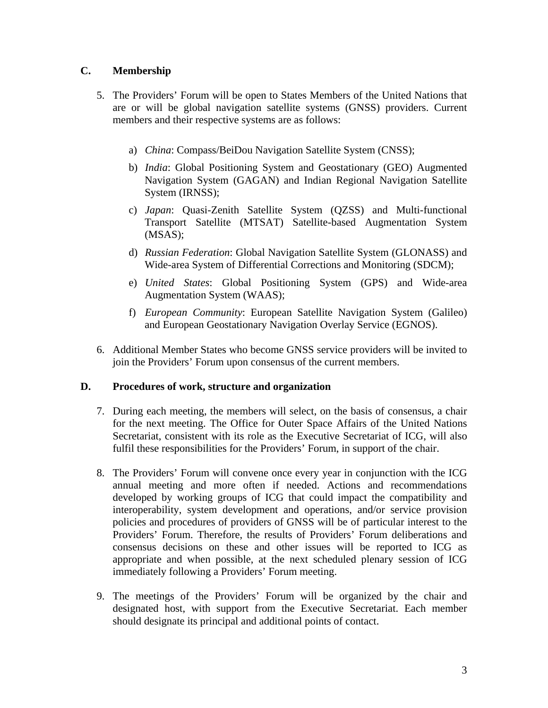# **C. Membership**

- 5. The Providers' Forum will be open to States Members of the United Nations that are or will be global navigation satellite systems (GNSS) providers. Current members and their respective systems are as follows:
	- a) *China*: Compass/BeiDou Navigation Satellite System (CNSS);
	- b) *India*: Global Positioning System and Geostationary (GEO) Augmented Navigation System (GAGAN) and Indian Regional Navigation Satellite System (IRNSS);
	- c) *Japan*: Quasi-Zenith Satellite System (QZSS) and Multi-functional Transport Satellite (MTSAT) Satellite-based Augmentation System (MSAS);
	- d) *Russian Federation*: Global Navigation Satellite System (GLONASS) and Wide-area System of Differential Corrections and Monitoring (SDCM);
	- e) *United States*: Global Positioning System (GPS) and Wide-area Augmentation System (WAAS);
	- f) *European Community*: European Satellite Navigation System (Galileo) and European Geostationary Navigation Overlay Service (EGNOS).
- 6. Additional Member States who become GNSS service providers will be invited to join the Providers' Forum upon consensus of the current members.

## **D. Procedures of work, structure and organization**

- 7. During each meeting, the members will select, on the basis of consensus, a chair for the next meeting. The Office for Outer Space Affairs of the United Nations Secretariat, consistent with its role as the Executive Secretariat of ICG, will also fulfil these responsibilities for the Providers' Forum, in support of the chair.
- 8. The Providers' Forum will convene once every year in conjunction with the ICG annual meeting and more often if needed. Actions and recommendations developed by working groups of ICG that could impact the compatibility and interoperability, system development and operations, and/or service provision policies and procedures of providers of GNSS will be of particular interest to the Providers' Forum. Therefore, the results of Providers' Forum deliberations and consensus decisions on these and other issues will be reported to ICG as appropriate and when possible, at the next scheduled plenary session of ICG immediately following a Providers' Forum meeting.
- 9. The meetings of the Providers' Forum will be organized by the chair and designated host, with support from the Executive Secretariat. Each member should designate its principal and additional points of contact.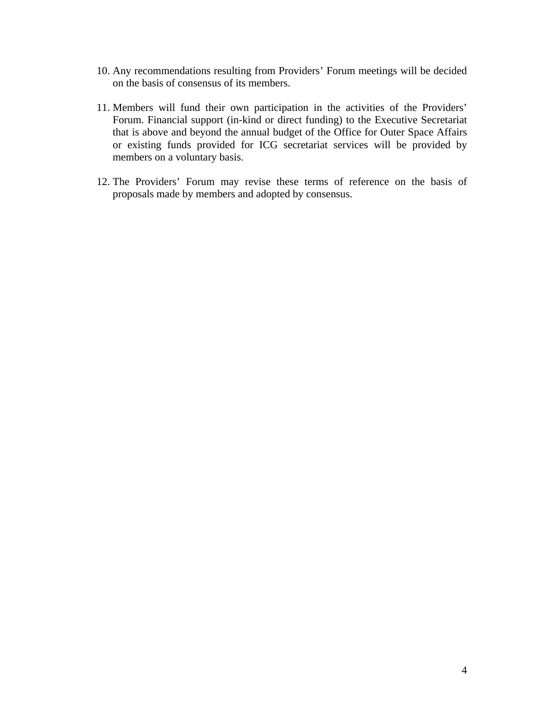- 10. Any recommendations resulting from Providers' Forum meetings will be decided on the basis of consensus of its members.
- 11. Members will fund their own participation in the activities of the Providers' Forum. Financial support (in-kind or direct funding) to the Executive Secretariat that is above and beyond the annual budget of the Office for Outer Space Affairs or existing funds provided for ICG secretariat services will be provided by members on a voluntary basis.
- 12. The Providers' Forum may revise these terms of reference on the basis of proposals made by members and adopted by consensus.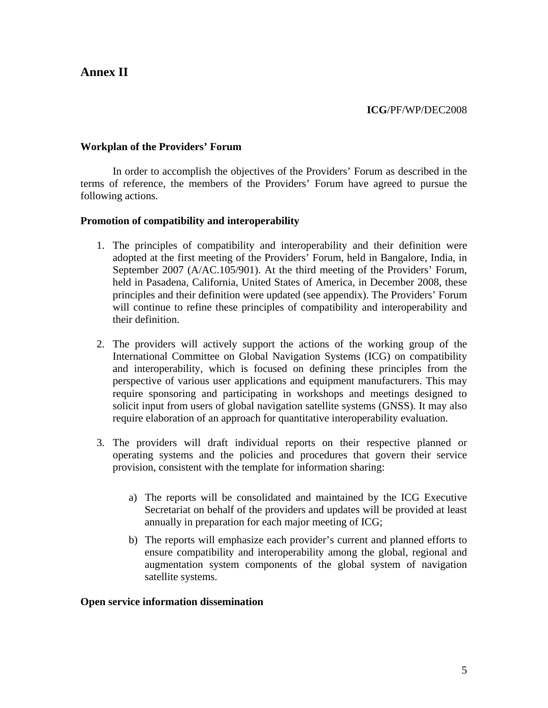# **Annex II**

### **ICG**/PF/WP/DEC2008

#### **Workplan of the Providers' Forum**

In order to accomplish the objectives of the Providers' Forum as described in the terms of reference, the members of the Providers' Forum have agreed to pursue the following actions.

#### **Promotion of compatibility and interoperability**

- 1. The principles of compatibility and interoperability and their definition were adopted at the first meeting of the Providers' Forum, held in Bangalore, India, in September 2007 (A/AC.105/901). At the third meeting of the Providers' Forum, held in Pasadena, California, United States of America, in December 2008, these principles and their definition were updated (see appendix). The Providers' Forum will continue to refine these principles of compatibility and interoperability and their definition.
- 2. The providers will actively support the actions of the working group of the International Committee on Global Navigation Systems (ICG) on compatibility and interoperability, which is focused on defining these principles from the perspective of various user applications and equipment manufacturers. This may require sponsoring and participating in workshops and meetings designed to solicit input from users of global navigation satellite systems (GNSS). It may also require elaboration of an approach for quantitative interoperability evaluation.
- 3. The providers will draft individual reports on their respective planned or operating systems and the policies and procedures that govern their service provision, consistent with the template for information sharing:
	- a) The reports will be consolidated and maintained by the ICG Executive Secretariat on behalf of the providers and updates will be provided at least annually in preparation for each major meeting of ICG;
	- b) The reports will emphasize each provider's current and planned efforts to ensure compatibility and interoperability among the global, regional and augmentation system components of the global system of navigation satellite systems.

#### **Open service information dissemination**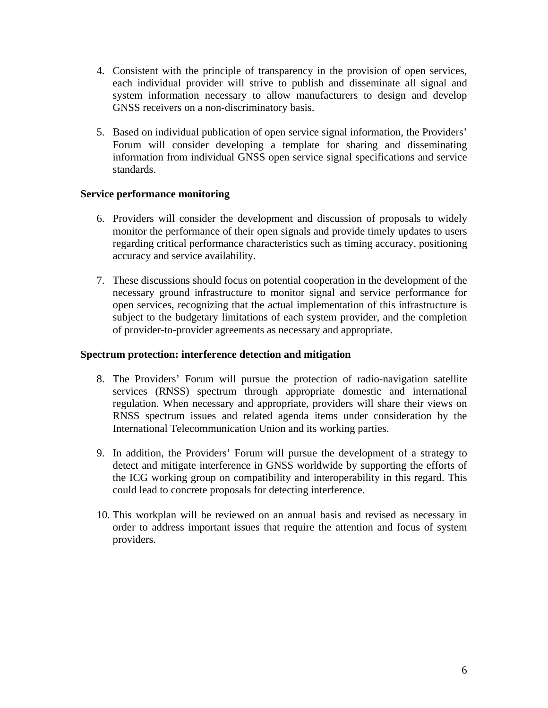- 4. Consistent with the principle of transparency in the provision of open services, each individual provider will strive to publish and disseminate all signal and system information necessary to allow manufacturers to design and develop GNSS receivers on a non-discriminatory basis.
- 5. Based on individual publication of open service signal information, the Providers' Forum will consider developing a template for sharing and disseminating information from individual GNSS open service signal specifications and service standards.

## **Service performance monitoring**

- 6. Providers will consider the development and discussion of proposals to widely monitor the performance of their open signals and provide timely updates to users regarding critical performance characteristics such as timing accuracy, positioning accuracy and service availability.
- 7. These discussions should focus on potential cooperation in the development of the necessary ground infrastructure to monitor signal and service performance for open services, recognizing that the actual implementation of this infrastructure is subject to the budgetary limitations of each system provider, and the completion of provider-to-provider agreements as necessary and appropriate.

## **Spectrum protection: interference detection and mitigation**

- 8. The Providers' Forum will pursue the protection of radio-navigation satellite services (RNSS) spectrum through appropriate domestic and international regulation. When necessary and appropriate, providers will share their views on RNSS spectrum issues and related agenda items under consideration by the International Telecommunication Union and its working parties.
- 9. In addition, the Providers' Forum will pursue the development of a strategy to detect and mitigate interference in GNSS worldwide by supporting the efforts of the ICG working group on compatibility and interoperability in this regard. This could lead to concrete proposals for detecting interference.
- 10. This workplan will be reviewed on an annual basis and revised as necessary in order to address important issues that require the attention and focus of system providers.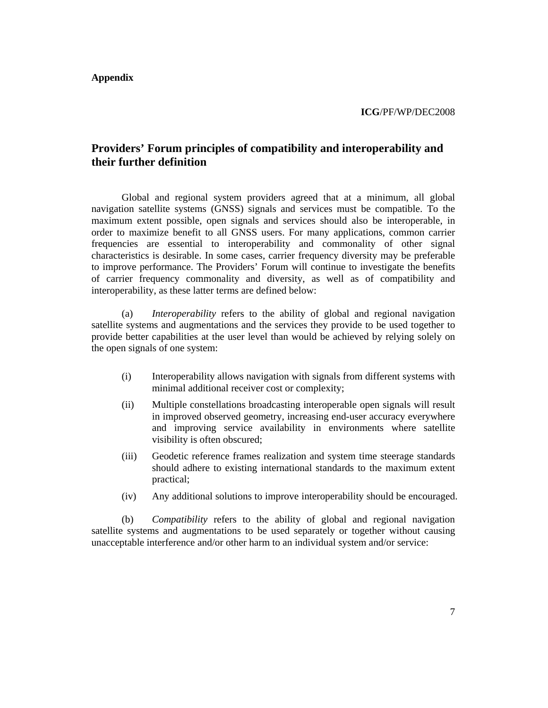**Appendix** 

**ICG**/PF/WP/DEC2008

# **Providers' Forum principles of compatibility and interoperability and their further definition**

Global and regional system providers agreed that at a minimum, all global navigation satellite systems (GNSS) signals and services must be compatible. To the maximum extent possible, open signals and services should also be interoperable, in order to maximize benefit to all GNSS users. For many applications, common carrier frequencies are essential to interoperability and commonality of other signal characteristics is desirable. In some cases, carrier frequency diversity may be preferable to improve performance. The Providers' Forum will continue to investigate the benefits of carrier frequency commonality and diversity, as well as of compatibility and interoperability, as these latter terms are defined below:

(a) *Interoperability* refers to the ability of global and regional navigation satellite systems and augmentations and the services they provide to be used together to provide better capabilities at the user level than would be achieved by relying solely on the open signals of one system:

- (i) Interoperability allows navigation with signals from different systems with minimal additional receiver cost or complexity;
- (ii) Multiple constellations broadcasting interoperable open signals will result in improved observed geometry, increasing end-user accuracy everywhere and improving service availability in environments where satellite visibility is often obscured;
- (iii) Geodetic reference frames realization and system time steerage standards should adhere to existing international standards to the maximum extent practical;
- (iv) Any additional solutions to improve interoperability should be encouraged.

(b) *Compatibility* refers to the ability of global and regional navigation satellite systems and augmentations to be used separately or together without causing unacceptable interference and/or other harm to an individual system and/or service: